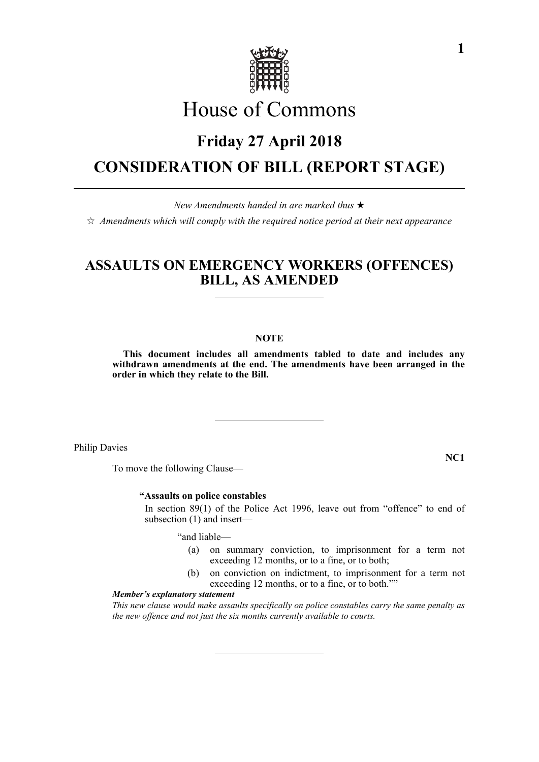

# House of Commons

## **Friday 27 April 2018**

## **CONSIDERATION OF BILL (REPORT STAGE)**

*New Amendments handed in are marked thus* 

 $\hat{\varphi}$  Amendments which will comply with the required notice period at their next appearance

### **ASSAULTS ON EMERGENCY WORKERS (OFFENCES) BILL, AS AMENDED**

#### **NOTE**

**This document includes all amendments tabled to date and includes any withdrawn amendments at the end. The amendments have been arranged in the order in which they relate to the Bill.**

Philip Davies

To move the following Clause—

#### **"Assaults on police constables**

 In section 89(1) of the Police Act 1996, leave out from "offence" to end of subsection (1) and insert—

"and liable—

- (a) on summary conviction, to imprisonment for a term not exceeding 12 months, or to a fine, or to both;
- (b) on conviction on indictment, to imprisonment for a term not exceeding 12 months, or to a fine, or to both.""

#### *Member's explanatory statement*

*This new clause would make assaults specifically on police constables carry the same penalty as the new offence and not just the six months currently available to courts.*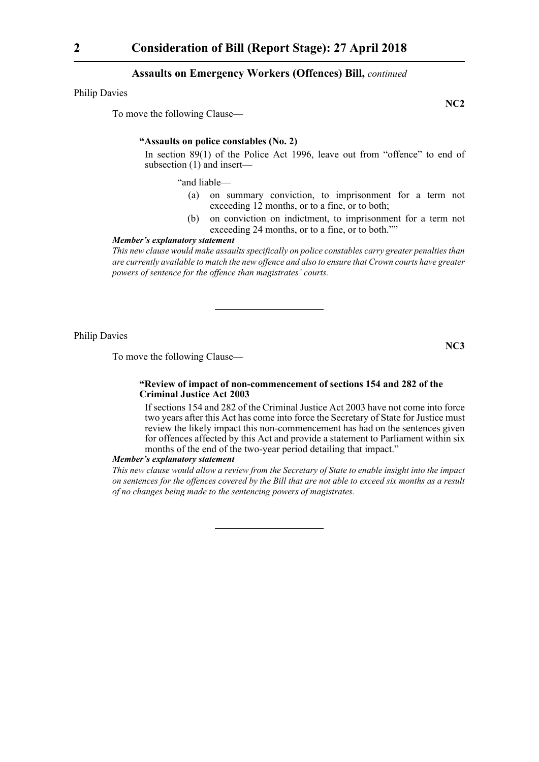Philip Davies

To move the following Clause—

**NC2**

#### **"Assaults on police constables (No. 2)**

In section 89(1) of the Police Act 1996, leave out from "offence" to end of subsection (1) and insert—

"and liable—

- (a) on summary conviction, to imprisonment for a term not exceeding 12 months, or to a fine, or to both;
- (b) on conviction on indictment, to imprisonment for a term not exceeding 24 months, or to a fine, or to both.""

#### *Member's explanatory statement*

*This new clause would make assaults specifically on police constables carry greater penalties than are currently available to match the new offence and also to ensure that Crown courts have greater powers of sentence for the offence than magistrates' courts.*

Philip Davies

To move the following Clause—

**NC3**

#### **"Review of impact of non-commencement of sections 154 and 282 of the Criminal Justice Act 2003**

 If sections 154 and 282 of the Criminal Justice Act 2003 have not come into force two years after this Act has come into force the Secretary of State for Justice must review the likely impact this non-commencement has had on the sentences given for offences affected by this Act and provide a statement to Parliament within six months of the end of the two-year period detailing that impact."

#### *Member's explanatory statement*

*This new clause would allow a review from the Secretary of State to enable insight into the impact on sentences for the offences covered by the Bill that are not able to exceed six months as a result of no changes being made to the sentencing powers of magistrates.*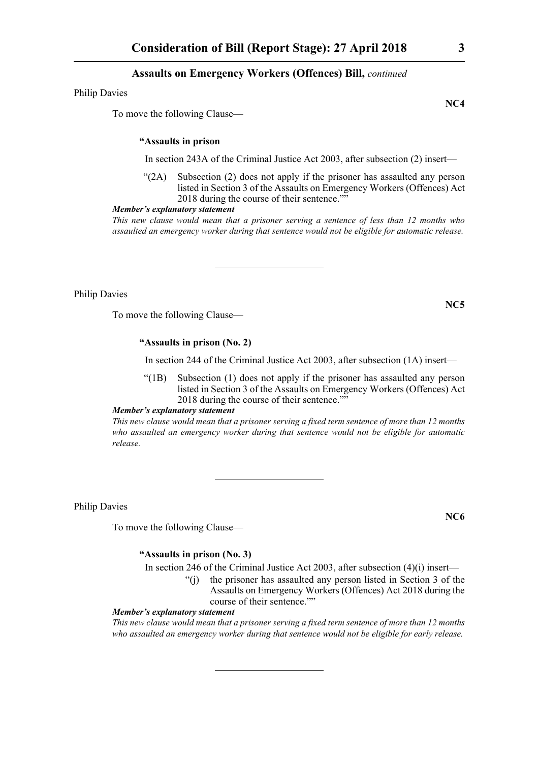Philip Davies

To move the following Clause—

#### **"Assaults in prison**

In section 243A of the Criminal Justice Act 2003, after subsection (2) insert—

"(2A) Subsection (2) does not apply if the prisoner has assaulted any person listed in Section 3 of the Assaults on Emergency Workers (Offences) Act 2018 during the course of their sentence.""

#### *Member's explanatory statement*

*This new clause would mean that a prisoner serving a sentence of less than 12 months who assaulted an emergency worker during that sentence would not be eligible for automatic release.*

Philip Davies

To move the following Clause—

#### **"Assaults in prison (No. 2)**

In section 244 of the Criminal Justice Act 2003, after subsection (1A) insert—

"(1B) Subsection (1) does not apply if the prisoner has assaulted any person listed in Section 3 of the Assaults on Emergency Workers (Offences) Act 2018 during the course of their sentence.""

*Member's explanatory statement* 

*This new clause would mean that a prisoner serving a fixed term sentence of more than 12 months who assaulted an emergency worker during that sentence would not be eligible for automatic release.*

Philip Davies

To move the following Clause—

#### **"Assaults in prison (No. 3)**

In section 246 of the Criminal Justice Act 2003, after subsection (4)(i) insert—

"(j) the prisoner has assaulted any person listed in Section 3 of the Assaults on Emergency Workers (Offences) Act 2018 during the course of their sentence.""

#### *Member's explanatory statement*

*This new clause would mean that a prisoner serving a fixed term sentence of more than 12 months who assaulted an emergency worker during that sentence would not be eligible for early release.*

**NC4**

**NC5**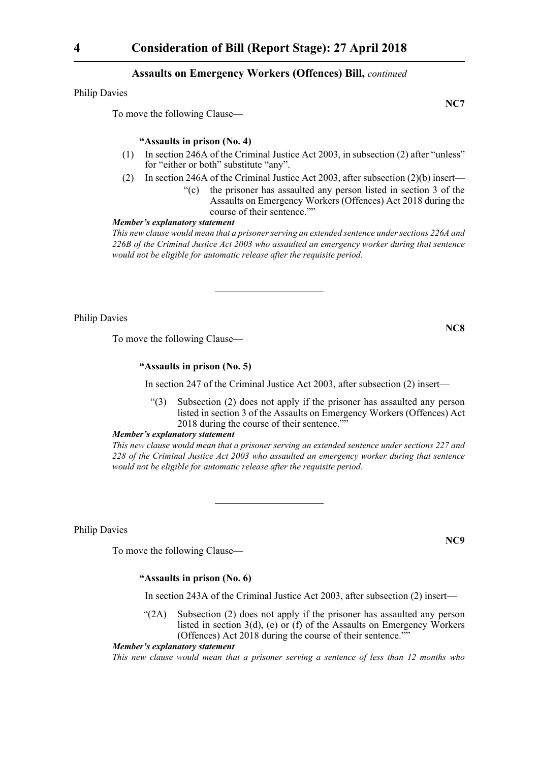Philip Davies

To move the following Clause—

#### **"Assaults in prison (No. 4)**

- (1) In section 246A of the Criminal Justice Act 2003, in subsection (2) after "unless" for "either or both" substitute "any".
- (2) In section 246A of the Criminal Justice Act 2003, after subsection (2)(b) insert—
	- "(c) the prisoner has assaulted any person listed in section 3 of the Assaults on Emergency Workers (Offences) Act 2018 during the course of their sentence.""

#### *Member's explanatory statement*

*This new clause would mean that a prisoner serving an extended sentence under sections 226A and 226B of the Criminal Justice Act 2003 who assaulted an emergency worker during that sentence would not be eligible for automatic release after the requisite period.*

Philip Davies

To move the following Clause—

#### **"Assaults in prison (No. 5)**

In section 247 of the Criminal Justice Act 2003, after subsection (2) insert—

"(3) Subsection (2) does not apply if the prisoner has assaulted any person listed in section 3 of the Assaults on Emergency Workers (Offences) Act 2018 during the course of their sentence.""

#### *Member's explanatory statement*

*This new clause would mean that a prisoner serving an extended sentence under sections 227 and 228 of the Criminal Justice Act 2003 who assaulted an emergency worker during that sentence would not be eligible for automatic release after the requisite period.*

Philip Davies

To move the following Clause—

**"Assaults in prison (No. 6)**

In section 243A of the Criminal Justice Act 2003, after subsection (2) insert—

 $\mathcal{L}(2A)$  Subsection (2) does not apply if the prisoner has assaulted any person listed in section 3(d), (e) or (f) of the Assaults on Emergency Workers (Offences) Act 2018 during the course of their sentence.""

#### *Member's explanatory statement*

*This new clause would mean that a prisoner serving a sentence of less than 12 months who*

**NC8**

**NC9**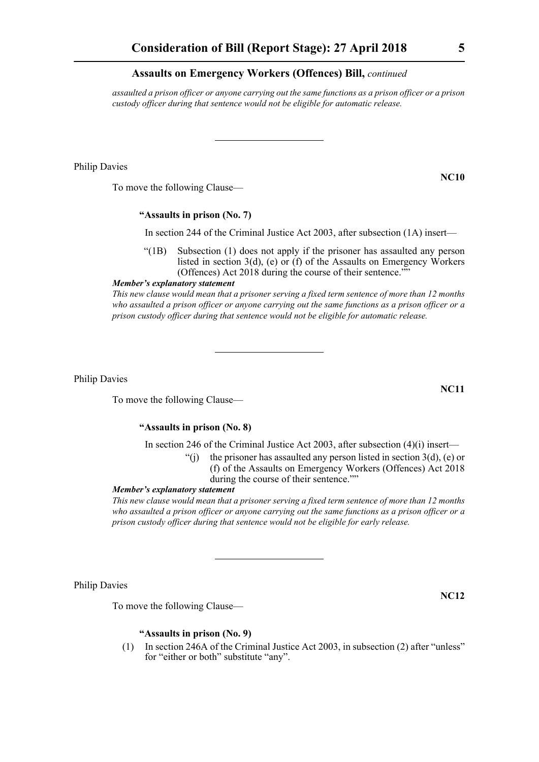*assaulted a prison officer or anyone carrying out the same functions as a prison officer or a prison custody officer during that sentence would not be eligible for automatic release.*

Philip Davies

To move the following Clause—

#### **"Assaults in prison (No. 7)**

In section 244 of the Criminal Justice Act 2003, after subsection (1A) insert—

"(1B) Subsection (1) does not apply if the prisoner has assaulted any person listed in section 3(d), (e) or (f) of the Assaults on Emergency Workers (Offences) Act 2018 during the course of their sentence.""

*Member's explanatory statement* 

*This new clause would mean that a prisoner serving a fixed term sentence of more than 12 months who assaulted a prison officer or anyone carrying out the same functions as a prison officer or a prison custody officer during that sentence would not be eligible for automatic release.*

Philip Davies

To move the following Clause—

#### **"Assaults in prison (No. 8)**

In section 246 of the Criminal Justice Act 2003, after subsection (4)(i) insert—

- "(i) the prisoner has assaulted any person listed in section  $3(d)$ , (e) or (f) of the Assaults on Emergency Workers (Offences) Act 2018
	- during the course of their sentence.""

#### *Member's explanatory statement*

*This new clause would mean that a prisoner serving a fixed term sentence of more than 12 months who assaulted a prison officer or anyone carrying out the same functions as a prison officer or a prison custody officer during that sentence would not be eligible for early release.*

Philip Davies

To move the following Clause—

#### **"Assaults in prison (No. 9)**

(1) In section 246A of the Criminal Justice Act 2003, in subsection (2) after "unless" for "either or both" substitute "any".

**NC11**

**NC12**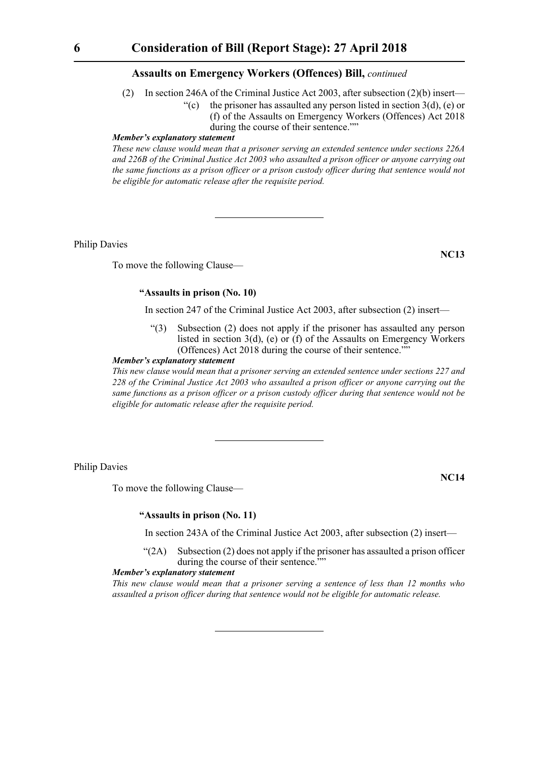- (2) In section 246A of the Criminal Justice Act 2003, after subsection (2)(b) insert—
	- "(c) the prisoner has assaulted any person listed in section  $3(d)$ , (e) or (f) of the Assaults on Emergency Workers (Offences) Act 2018 during the course of their sentence.""

#### *Member's explanatory statement*

*These new clause would mean that a prisoner serving an extended sentence under sections 226A and 226B of the Criminal Justice Act 2003 who assaulted a prison officer or anyone carrying out the same functions as a prison officer or a prison custody officer during that sentence would not be eligible for automatic release after the requisite period.*

Philip Davies

To move the following Clause—

## **NC13**

#### **"Assaults in prison (No. 10)**

In section 247 of the Criminal Justice Act 2003, after subsection (2) insert—

"(3) Subsection (2) does not apply if the prisoner has assaulted any person listed in section 3(d), (e) or (f) of the Assaults on Emergency Workers (Offences) Act 2018 during the course of their sentence.""

#### *Member's explanatory statement*

*This new clause would mean that a prisoner serving an extended sentence under sections 227 and 228 of the Criminal Justice Act 2003 who assaulted a prison officer or anyone carrying out the same functions as a prison officer or a prison custody officer during that sentence would not be eligible for automatic release after the requisite period.*

Philip Davies

To move the following Clause—

**NC14**

#### **"Assaults in prison (No. 11)**

In section 243A of the Criminal Justice Act 2003, after subsection (2) insert—

 $\mathcal{L}(2A)$  Subsection (2) does not apply if the prisoner has assaulted a prison officer during the course of their sentence.""

#### *Member's explanatory statement*

*This new clause would mean that a prisoner serving a sentence of less than 12 months who assaulted a prison officer during that sentence would not be eligible for automatic release.*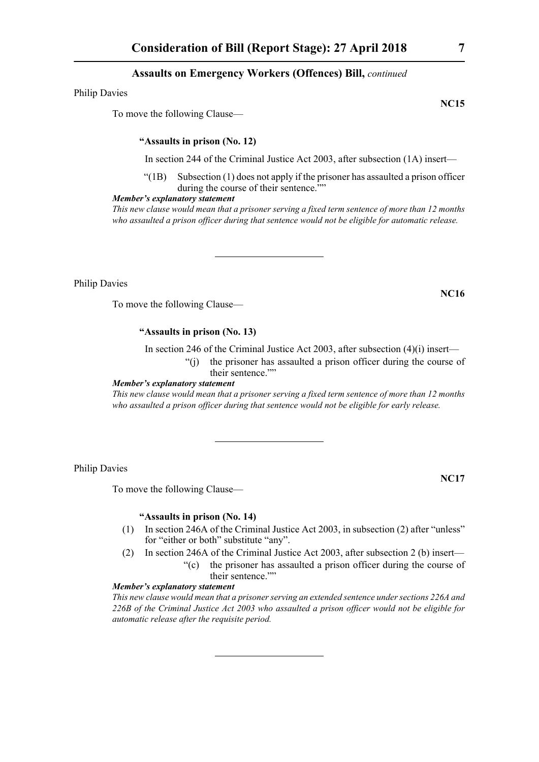Philip Davies

To move the following Clause—

#### **"Assaults in prison (No. 12)**

In section 244 of the Criminal Justice Act 2003, after subsection (1A) insert—

 $\degree$ (1B) Subsection (1) does not apply if the prisoner has assaulted a prison officer during the course of their sentence.""

#### *Member's explanatory statement*

*This new clause would mean that a prisoner serving a fixed term sentence of more than 12 months who assaulted a prison officer during that sentence would not be eligible for automatic release.*

Philip Davies

To move the following Clause—

#### **"Assaults in prison (No. 13)**

In section 246 of the Criminal Justice Act 2003, after subsection (4)(i) insert— "(j) the prisoner has assaulted a prison officer during the course of

their sentence.""

#### *Member's explanatory statement*

*This new clause would mean that a prisoner serving a fixed term sentence of more than 12 months who assaulted a prison officer during that sentence would not be eligible for early release.*

Philip Davies

To move the following Clause—

#### **"Assaults in prison (No. 14)**

- (1) In section 246A of the Criminal Justice Act 2003, in subsection (2) after "unless" for "either or both" substitute "any".
- (2) In section 246A of the Criminal Justice Act 2003, after subsection 2 (b) insert— "(c) the prisoner has assaulted a prison officer during the course of their sentence.""

#### *Member's explanatory statement*

*This new clause would mean that a prisoner serving an extended sentence under sections 226A and 226B of the Criminal Justice Act 2003 who assaulted a prison officer would not be eligible for automatic release after the requisite period.*

**NC15**

**NC16**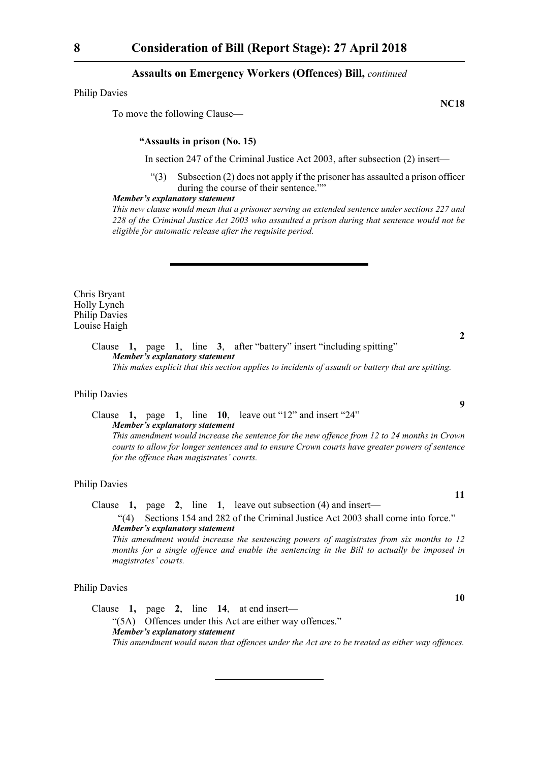Philip Davies

To move the following Clause—

#### **"Assaults in prison (No. 15)**

In section 247 of the Criminal Justice Act 2003, after subsection (2) insert—

"(3) Subsection (2) does not apply if the prisoner has assaulted a prison officer during the course of their sentence.""

#### *Member's explanatory statement*

*This new clause would mean that a prisoner serving an extended sentence under sections 227 and 228 of the Criminal Justice Act 2003 who assaulted a prison during that sentence would not be eligible for automatic release after the requisite period.*

Chris Bryant Holly Lynch Philip Davies Louise Haigh

> Clause **1,** page **1**, line **3**, after "battery" insert "including spitting" *Member's explanatory statement*

*This makes explicit that this section applies to incidents of assault or battery that are spitting.*

#### Philip Davies

Clause **1,** page **1**, line **10**, leave out "12" and insert "24" *Member's explanatory statement* 

*This amendment would increase the sentence for the new offence from 12 to 24 months in Crown courts to allow for longer sentences and to ensure Crown courts have greater powers of sentence for the offence than magistrates' courts.* 

#### Philip Davies

Clause **1,** page **2**, line **1**, leave out subsection (4) and insert—

"(4) Sections 154 and 282 of the Criminal Justice Act 2003 shall come into force." *Member's explanatory statement* 

*This amendment would increase the sentencing powers of magistrates from six months to 12 months for a single offence and enable the sentencing in the Bill to actually be imposed in magistrates' courts.*

#### Philip Davies

Clause **1,** page **2**, line **14**, at end insert— "(5A) Offences under this Act are either way offences." *Member's explanatory statement This amendment would mean that offences under the Act are to be treated as either way offences.*

**NC18**

**9**

**2**

**11**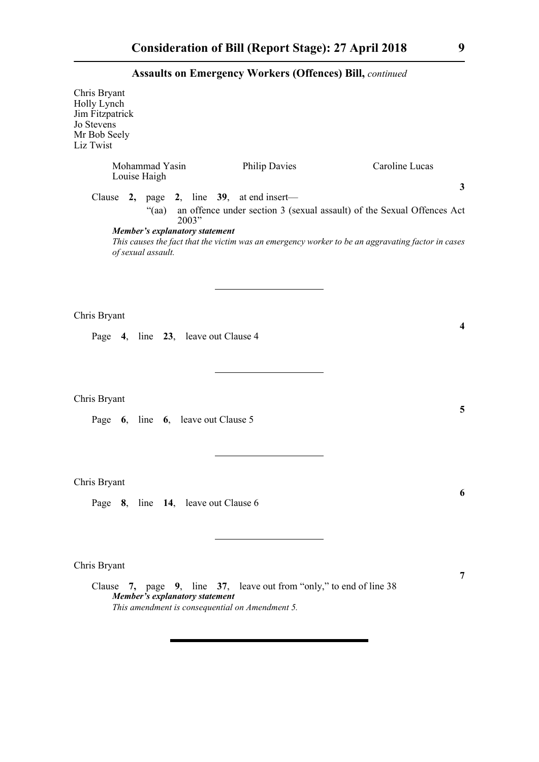| Chris Bryant<br>Holly Lynch<br>Jim Fitzpatrick<br>Jo Stevens<br>Mr Bob Seely<br>Liz Twist |                                |                                                  |                                                                                                                        |                                                                                                                                                                                             |
|-------------------------------------------------------------------------------------------|--------------------------------|--------------------------------------------------|------------------------------------------------------------------------------------------------------------------------|---------------------------------------------------------------------------------------------------------------------------------------------------------------------------------------------|
|                                                                                           | Mohammad Yasin<br>Louise Haigh |                                                  | <b>Philip Davies</b>                                                                                                   | Caroline Lucas                                                                                                                                                                              |
|                                                                                           | of sexual assault.             | "(aa)<br>2003"<br>Member's explanatory statement | Clause 2, page 2, line 39, at end insert—                                                                              | $\mathbf{3}$<br>an offence under section 3 (sexual assault) of the Sexual Offences Act<br>This causes the fact that the victim was an emergency worker to be an aggravating factor in cases |
| Chris Bryant                                                                              |                                | Page 4, line 23, leave out Clause 4              |                                                                                                                        | $\boldsymbol{4}$                                                                                                                                                                            |
| Chris Bryant                                                                              |                                | Page 6, line 6, leave out Clause 5               |                                                                                                                        | 5                                                                                                                                                                                           |
| Chris Bryant                                                                              |                                | Page 8, line 14, leave out Clause 6              |                                                                                                                        | 6                                                                                                                                                                                           |
| Chris Bryant                                                                              |                                | Member's explanatory statement                   | Clause 7, page 9, line 37, leave out from "only," to end of line 38<br>This amendment is consequential on Amendment 5. | 7                                                                                                                                                                                           |